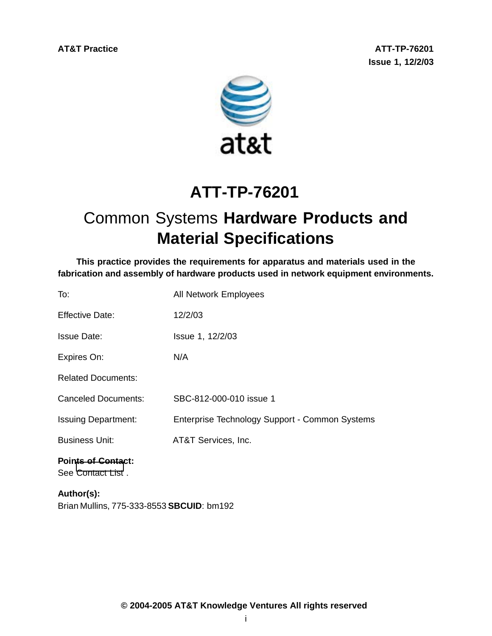**AT&T Practice ATT-TP-76201 Issue 1, 12/2/03**



# **ATT-TP-76201**

# Common Systems **Hardware Products and Material Specifications**

**This practice provides the requirements for apparatus and materials used in the fabrication and assembly of hardware products used in network equipment environments.**

| To:                                            | All Network Employees                          |
|------------------------------------------------|------------------------------------------------|
| <b>Effective Date:</b>                         | 12/2/03                                        |
| <b>Issue Date:</b>                             | Issue 1, 12/2/03                               |
| Expires On:                                    | N/A                                            |
| <b>Related Documents:</b>                      |                                                |
| <b>Canceled Documents:</b>                     | SBC-812-000-010 issue 1                        |
| <b>Issuing Department:</b>                     | Enterprise Technology Support - Common Systems |
| <b>Business Unit:</b>                          | AT&T Services, Inc.                            |
| <b>Points of Contact:</b><br>See Contact List. |                                                |
| $A$ <sub>u</sub> thor(e).                      |                                                |

**Author(s):** Brian Mullins, 775-333-8553 **SBCUID**: bm192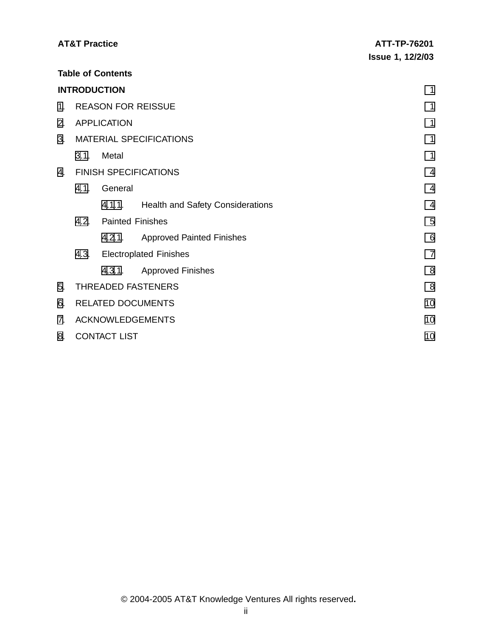|    | <b>AT&amp;T Practice</b>       |                              |                                         | ATT-TP-76201            |  |
|----|--------------------------------|------------------------------|-----------------------------------------|-------------------------|--|
|    |                                |                              |                                         | <b>Issue 1, 12/2/03</b> |  |
|    |                                | <b>Table of Contents</b>     |                                         |                         |  |
|    |                                | <b>INTRODUCTION</b>          |                                         | 1                       |  |
| 1. |                                |                              | <b>REASON FOR REISSUE</b>               | 1                       |  |
| 2. |                                | <b>APPLICATION</b>           |                                         | 1                       |  |
| 3. |                                |                              | <b>MATERIAL SPECIFICATIONS</b>          | 1                       |  |
|    | 3.1.                           | Metal                        |                                         | 1                       |  |
| 4. |                                | <b>FINISH SPECIFICATIONS</b> | $\overline{4}$                          |                         |  |
|    | 4.1.                           | General                      |                                         | $\overline{4}$          |  |
|    |                                |                              | 4.1.1. Health and Safety Considerations | $\overline{4}$          |  |
|    | 4.2.                           |                              | <b>Painted Finishes</b>                 | 5                       |  |
|    |                                | 4.2.1.                       | <b>Approved Painted Finishes</b>        | 6                       |  |
|    |                                |                              | 4.3. Electroplated Finishes             | $\overline{7}$          |  |
|    |                                | 4.3.1.                       | <b>Approved Finishes</b>                | 8                       |  |
| 5. |                                |                              | THREADED FASTENERS                      | 8                       |  |
| 6. | <b>RELATED DOCUMENTS</b><br>10 |                              |                                         |                         |  |
| 7. |                                |                              | <b>ACKNOWLEDGEMENTS</b>                 | 10                      |  |
| 8. |                                | <b>CONTACT LIST</b>          |                                         | 10                      |  |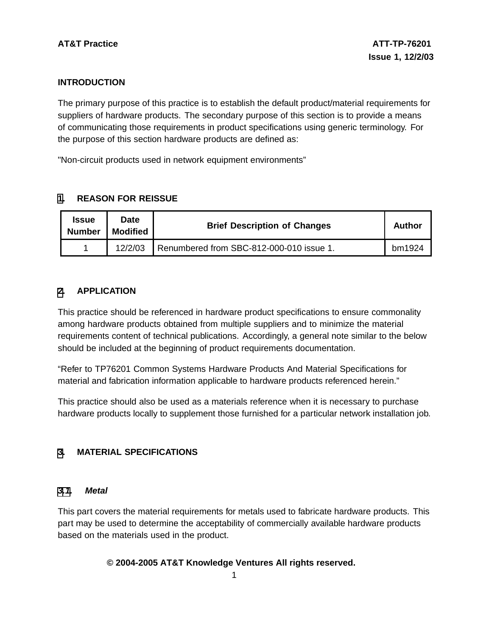# **INTRODUCTION**

The primary purpose of this practice is to establish the default product/material requirements for suppliers of hardware products. The secondary purpose of this section is to provide a means of communicating those requirements in product specifications using generic terminology. For the purpose of this section hardware products are defined as:

"Non-circuit products used in network equipment environments"

# **[1](#page-2-0). REASON FOR REISSUE**

| <b>Issue</b><br><b>Number</b> | Date<br><b>Modified</b> | <b>Brief Description of Changes</b>      | Author |
|-------------------------------|-------------------------|------------------------------------------|--------|
|                               | 12/2/03                 | Renumbered from SBC-812-000-010 issue 1. | bm1924 |

# **[2](#page-2-0). APPLICATION**

This practice should be referenced in hardware product specifications to ensure commonality among hardware products obtained from multiple suppliers and to minimize the material requirements content of technical publications. Accordingly, a general note similar to the below should be included at the beginning of product requirements documentation.

"Refer to TP76201 Common Systems Hardware Products And Material Specifications for material and fabrication information applicable to hardware products referenced herein."

This practice should also be used as a materials reference when it is necessary to purchase hardware products locally to supplement those furnished for a particular network installation job.

### **[3](#page-2-0). MATERIAL SPECIFICATIONS**

#### **[3.1](#page-2-0). Metal**

This part covers the material requirements for metals used to fabricate hardware products. This part may be used to determine the acceptability of commercially available hardware products based on the materials used in the product.

### <span id="page-2-0"></span> **© 2004-2005 AT&T Knowledge Ventures All rights reserved.**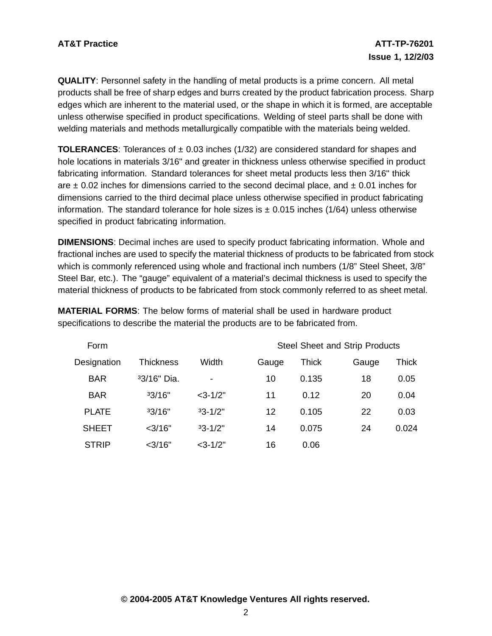**QUALITY**: Personnel safety in the handling of metal products is a prime concern. All metal products shall be free of sharp edges and burrs created by the product fabrication process. Sharp edges which are inherent to the material used, or the shape in which it is formed, are acceptable unless otherwise specified in product specifications. Welding of steel parts shall be done with welding materials and methods metallurgically compatible with the materials being welded.

**TOLERANCES:** Tolerances of  $\pm$  0.03 inches (1/32) are considered standard for shapes and hole locations in materials 3/16" and greater in thickness unless otherwise specified in product fabricating information. Standard tolerances for sheet metal products less then 3/16" thick are  $\pm$  0.02 inches for dimensions carried to the second decimal place, and  $\pm$  0.01 inches for dimensions carried to the third decimal place unless otherwise specified in product fabricating information. The standard tolerance for hole sizes is  $\pm$  0.015 inches (1/64) unless otherwise specified in product fabricating information.

**DIMENSIONS**: Decimal inches are used to specify product fabricating information. Whole and fractional inches are used to specify the material thickness of products to be fabricated from stock which is commonly referenced using whole and fractional inch numbers (1/8" Steel Sheet, 3/8" Steel Bar, etc.). The "gauge" equivalent of a material's decimal thickness is used to specify the material thickness of products to be fabricated from stock commonly referred to as sheet metal.

Form Steel Sheet and Strip Products Designation Thickness Width Gauge Thick Gauge Thick BAR ³3/16" Dia. - 10 0.135 18 0.05 BAR ³3/16" <3-1/2" 11 0.12 20 0.04 PLATE ³3/16" ³3-1/2" 12 0.105 22 0.03 SHEET <3/16" ³3-1/2" 14 0.075 24 0.024 STRIP <3/16" <3-1/2" 16 0.06

**MATERIAL FORMS**: The below forms of material shall be used in hardware product specifications to describe the material the products are to be fabricated from.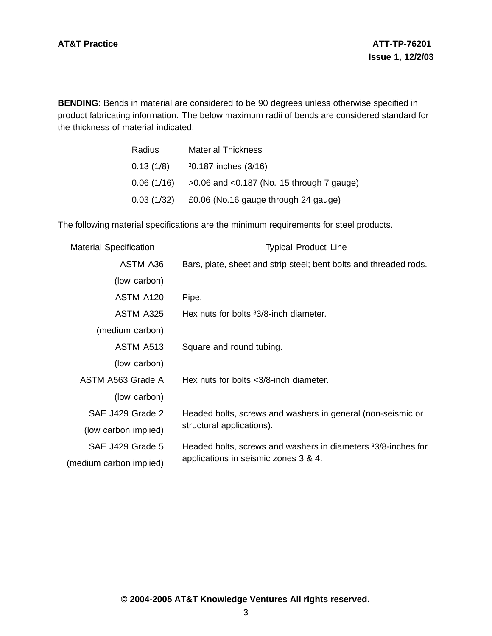**BENDING**: Bends in material are considered to be 90 degrees unless otherwise specified in product fabricating information. The below maximum radii of bends are considered standard for the thickness of material indicated:

| Radius     | <b>Material Thickness</b>                      |
|------------|------------------------------------------------|
| 0.13(1/8)  | 30.187 inches (3/16)                           |
| 0.06(1/16) | $>0.06$ and $< 0.187$ (No. 15 through 7 gauge) |
| 0.03(1/32) | £0.06 (No.16 gauge through 24 gauge)           |

The following material specifications are the minimum requirements for steel products.

| <b>Material Specification</b> | <b>Typical Product Line</b>                                                                           |  |
|-------------------------------|-------------------------------------------------------------------------------------------------------|--|
| ASTM A36                      | Bars, plate, sheet and strip steel; bent bolts and threaded rods.                                     |  |
| (low carbon)                  |                                                                                                       |  |
| ASTM A120                     | Pipe.                                                                                                 |  |
| ASTM A325                     | Hex nuts for bolts 33/8-inch diameter.                                                                |  |
| (medium carbon)               |                                                                                                       |  |
| ASTM A513                     | Square and round tubing.                                                                              |  |
| (low carbon)                  |                                                                                                       |  |
| ASTM A563 Grade A             | Hex nuts for bolts $\langle 3/8 \cdot$ inch diameter.                                                 |  |
| (low carbon)                  |                                                                                                       |  |
| SAE J429 Grade 2              | Headed bolts, screws and washers in general (non-seismic or                                           |  |
| (low carbon implied)          | structural applications).                                                                             |  |
| SAE J429 Grade 5              | Headed bolts, screws and washers in diameters 33/8-inches for<br>applications in seismic zones 3 & 4. |  |
| (medium carbon implied)       |                                                                                                       |  |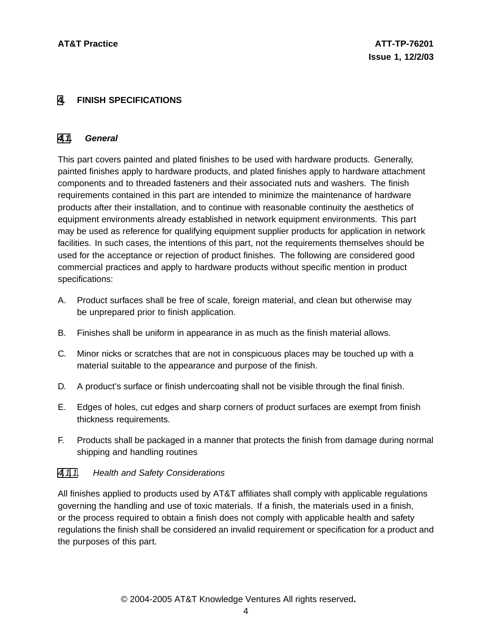### **[4](#page-5-0). FINISH SPECIFICATIONS**

#### **[4.1](#page-5-0). General**

This part covers painted and plated finishes to be used with hardware products. Generally, painted finishes apply to hardware products, and plated finishes apply to hardware attachment components and to threaded fasteners and their associated nuts and washers. The finish requirements contained in this part are intended to minimize the maintenance of hardware products after their installation, and to continue with reasonable continuity the aesthetics of equipment environments already established in network equipment environments. This part may be used as reference for qualifying equipment supplier products for application in network facilities. In such cases, the intentions of this part, not the requirements themselves should be used for the acceptance or rejection of product finishes. The following are considered good commercial practices and apply to hardware products without specific mention in product specifications:

- A. Product surfaces shall be free of scale, foreign material, and clean but otherwise may be unprepared prior to finish application.
- B. Finishes shall be uniform in appearance in as much as the finish material allows.
- C. Minor nicks or scratches that are not in conspicuous places may be touched up with a material suitable to the appearance and purpose of the finish.
- D. A product's surface or finish undercoating shall not be visible through the final finish.
- E. Edges of holes, cut edges and sharp corners of product surfaces are exempt from finish thickness requirements.
- F. Products shall be packaged in a manner that protects the finish from damage during normal shipping and handling routines

### [4.1.1](#page-5-0). Health and Safety Considerations

<span id="page-5-0"></span>All finishes applied to products used by AT&T affiliates shall comply with applicable regulations governing the handling and use of toxic materials. If a finish, the materials used in a finish, or the process required to obtain a finish does not comply with applicable health and safety regulations the finish shall be considered an invalid requirement or specification for a product and the purposes of this part.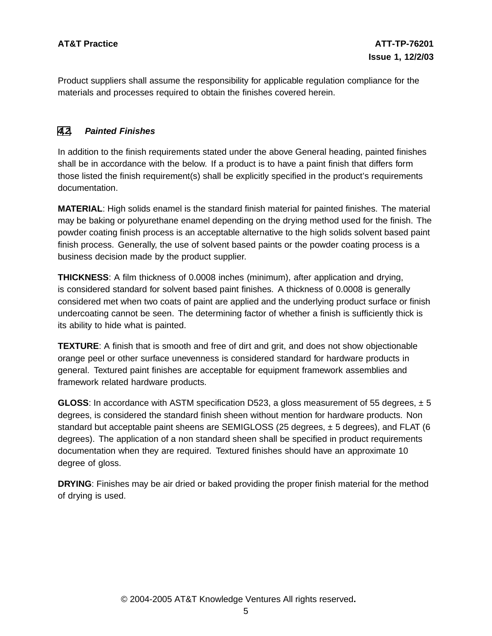Product suppliers shall assume the responsibility for applicable regulation compliance for the materials and processes required to obtain the finishes covered herein.

### **[4](#page-5-0)[.2](#page-6-0). Painted Finishes**

In addition to the finish requirements stated under the above General heading, painted finishes shall be in accordance with the below. If a product is to have a paint finish that differs form those listed the finish requirement(s) shall be explicitly specified in the product's requirements documentation.

**MATERIAL**: High solids enamel is the standard finish material for painted finishes. The material may be baking or polyurethane enamel depending on the drying method used for the finish. The powder coating finish process is an acceptable alternative to the high solids solvent based paint finish process. Generally, the use of solvent based paints or the powder coating process is a business decision made by the product supplier.

**THICKNESS**: A film thickness of 0.0008 inches (minimum), after application and drying, is considered standard for solvent based paint finishes. A thickness of 0.0008 is generally considered met when two coats of paint are applied and the underlying product surface or finish undercoating cannot be seen. The determining factor of whether a finish is sufficiently thick is its ability to hide what is painted.

**TEXTURE**: A finish that is smooth and free of dirt and grit, and does not show objectionable orange peel or other surface unevenness is considered standard for hardware products in general. Textured paint finishes are acceptable for equipment framework assemblies and framework related hardware products.

**GLOSS**: In accordance with ASTM specification D523, a gloss measurement of 55 degrees, ± 5 degrees, is considered the standard finish sheen without mention for hardware products. Non standard but acceptable paint sheens are SEMIGLOSS (25 degrees, ± 5 degrees), and FLAT (6 degrees). The application of a non standard sheen shall be specified in product requirements documentation when they are required. Textured finishes should have an approximate 10 degree of gloss.

<span id="page-6-0"></span>**DRYING:** Finishes may be air dried or baked providing the proper finish material for the method of drying is used.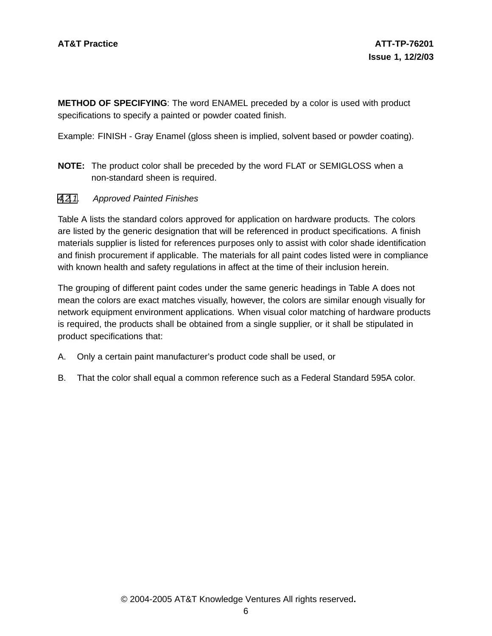**METHOD OF SPECIFYING**: The word ENAMEL preceded by a color is used with product specifications to specify a painted or powder coated finish.

Example: FINISH - Gray Enamel (gloss sheen is implied, solvent based or powder coating).

**NOTE:** The product color shall be preceded by the word FLAT or SEMIGLOSS when a non-standard sheen is required.

#### [4](#page-5-0)[.2](#page-6-0)[.1](#page-7-0). Approved Painted Finishes

Table A lists the standard colors approved for application on hardware products. The colors are listed by the generic designation that will be referenced in product specifications. A finish materials supplier is listed for references purposes only to assist with color shade identification and finish procurement if applicable. The materials for all paint codes listed were in compliance with known health and safety regulations in affect at the time of their inclusion herein.

The grouping of different paint codes under the same generic headings in Table A does not mean the colors are exact matches visually, however, the colors are similar enough visually for network equipment environment applications. When visual color matching of hardware products is required, the products shall be obtained from a single supplier, or it shall be stipulated in product specifications that:

- A. Only a certain paint manufacturer's product code shall be used, or
- <span id="page-7-0"></span>B. That the color shall equal a common reference such as a Federal Standard 595A color.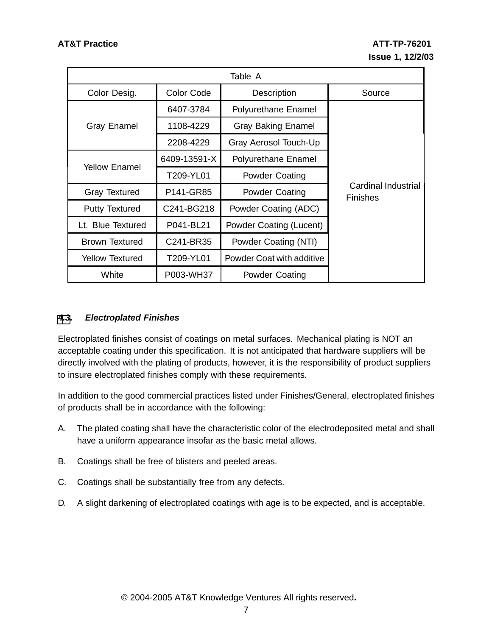| Table A                             |              |                           |                                               |  |  |
|-------------------------------------|--------------|---------------------------|-----------------------------------------------|--|--|
| Color Desig.                        | Color Code   | Description               | Source                                        |  |  |
|                                     | 6407-3784    | Polyurethane Enamel       |                                               |  |  |
| <b>Gray Enamel</b>                  | 1108-4229    | <b>Gray Baking Enamel</b> |                                               |  |  |
|                                     | 2208-4229    | Gray Aerosol Touch-Up     |                                               |  |  |
|                                     | 6409-13591-X | Polyurethane Enamel       |                                               |  |  |
| Yellow Enamel                       | T209-YL01    | <b>Powder Coating</b>     |                                               |  |  |
| <b>Gray Textured</b>                | P141-GR85    | Powder Coating            | <b>Cardinal Industrial</b><br><b>Finishes</b> |  |  |
| <b>Putty Textured</b>               | C241-BG218   | Powder Coating (ADC)      |                                               |  |  |
| Lt. Blue Textured                   | P041-BL21    | Powder Coating (Lucent)   |                                               |  |  |
| <b>Brown Textured</b>               | C241-BR35    | Powder Coating (NTI)      |                                               |  |  |
| T209-YL01<br><b>Yellow Textured</b> |              | Powder Coat with additive |                                               |  |  |
| White                               | P003-WH37    | <b>Powder Coating</b>     |                                               |  |  |

# **[4](#page-5-0)[.3](#page-8-0). Electroplated Finishes**

Electroplated finishes consist of coatings on metal surfaces. Mechanical plating is NOT an acceptable coating under this specification. It is not anticipated that hardware suppliers will be directly involved with the plating of products, however, it is the responsibility of product suppliers to insure electroplated finishes comply with these requirements.

In addition to the good commercial practices listed under Finishes/General, electroplated finishes of products shall be in accordance with the following:

- A. The plated coating shall have the characteristic color of the electrodeposited metal and shall have a uniform appearance insofar as the basic metal allows.
- B. Coatings shall be free of blisters and peeled areas.
- C. Coatings shall be substantially free from any defects.
- <span id="page-8-0"></span>D. A slight darkening of electroplated coatings with age is to be expected, and is acceptable.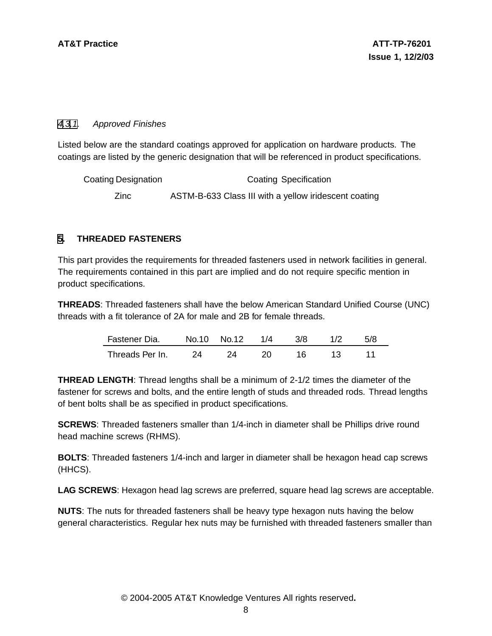### [4](#page-5-0)[.3](#page-8-0)[.1](#page-9-0). Approved Finishes

Listed below are the standard coatings approved for application on hardware products. The coatings are listed by the generic designation that will be referenced in product specifications.

| Coating Designation | <b>Coating Specification</b>                          |
|---------------------|-------------------------------------------------------|
| Zinc                | ASTM-B-633 Class III with a yellow iridescent coating |

### **[5](#page-9-0). THREADED FASTENERS**

This part provides the requirements for threaded fasteners used in network facilities in general. The requirements contained in this part are implied and do not require specific mention in product specifications.

**THREADS**: Threaded fasteners shall have the below American Standard Unified Course (UNC) threads with a fit tolerance of 2A for male and 2B for female threads.

| Fastener Dia.   |     | No.10 No.12 | $1/\Delta$ | 3/8 | 1/2 | 5/8 |
|-----------------|-----|-------------|------------|-----|-----|-----|
| Threads Per In. | -24 |             |            |     | -13 |     |

**THREAD LENGTH**: Thread lengths shall be a minimum of 2-1/2 times the diameter of the fastener for screws and bolts, and the entire length of studs and threaded rods. Thread lengths of bent bolts shall be as specified in product specifications.

**SCREWS**: Threaded fasteners smaller than 1/4-inch in diameter shall be Phillips drive round head machine screws (RHMS).

**BOLTS**: Threaded fasteners 1/4-inch and larger in diameter shall be hexagon head cap screws (HHCS).

**LAG SCREWS**: Hexagon head lag screws are preferred, square head lag screws are acceptable.

<span id="page-9-0"></span>**NUTS**: The nuts for threaded fasteners shall be heavy type hexagon nuts having the below general characteristics. Regular hex nuts may be furnished with threaded fasteners smaller than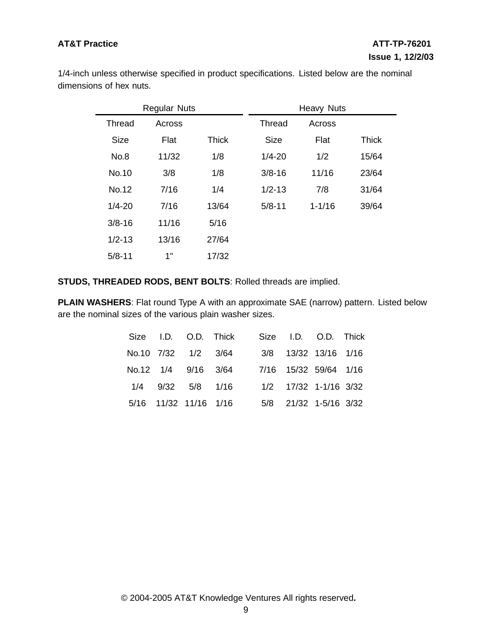1/4-inch unless otherwise specified in product specifications. Listed below are the nominal dimensions of hex nuts.

| <b>Regular Nuts</b> |        |              |             | <b>Heavy Nuts</b> |              |
|---------------------|--------|--------------|-------------|-------------------|--------------|
| Thread              | Across |              | Thread      | Across            |              |
| <b>Size</b>         | Flat   | <b>Thick</b> | <b>Size</b> | Flat              | <b>Thick</b> |
| No.8                | 11/32  | 1/8          | $1/4 - 20$  | 1/2               | 15/64        |
| No.10               | 3/8    | 1/8          | $3/8 - 16$  | 11/16             | 23/64        |
| No.12               | 7/16   | 1/4          | $1/2 - 13$  | 7/8               | 31/64        |
| $1/4 - 20$          | 7/16   | 13/64        | $5/8 - 11$  | $1 - 1/16$        | 39/64        |
| $3/8 - 16$          | 11/16  | 5/16         |             |                   |              |
| $1/2 - 13$          | 13/16  | 27/64        |             |                   |              |
| $5/8 - 11$          | 1"     | 17/32        |             |                   |              |

# **STUDS, THREADED RODS, BENT BOLTS**: Rolled threads are implied.

**PLAIN WASHERS**: Flat round Type A with an approximate SAE (narrow) pattern. Listed below are the nominal sizes of the various plain washer sizes.

|  |                       | Size I.D. O.D. Thick |  | Size I.D. O.D. Thick  |  |
|--|-----------------------|----------------------|--|-----------------------|--|
|  | No.10 7/32 1/2 3/64   |                      |  | 3/8 13/32 13/16 1/16  |  |
|  | No.12 1/4 9/16 3/64   |                      |  | 7/16 15/32 59/64 1/16 |  |
|  | 1/4 9/32 5/8 1/16     |                      |  | 1/2 17/32 1-1/16 3/32 |  |
|  | 5/16 11/32 11/16 1/16 |                      |  | 5/8 21/32 1-5/16 3/32 |  |